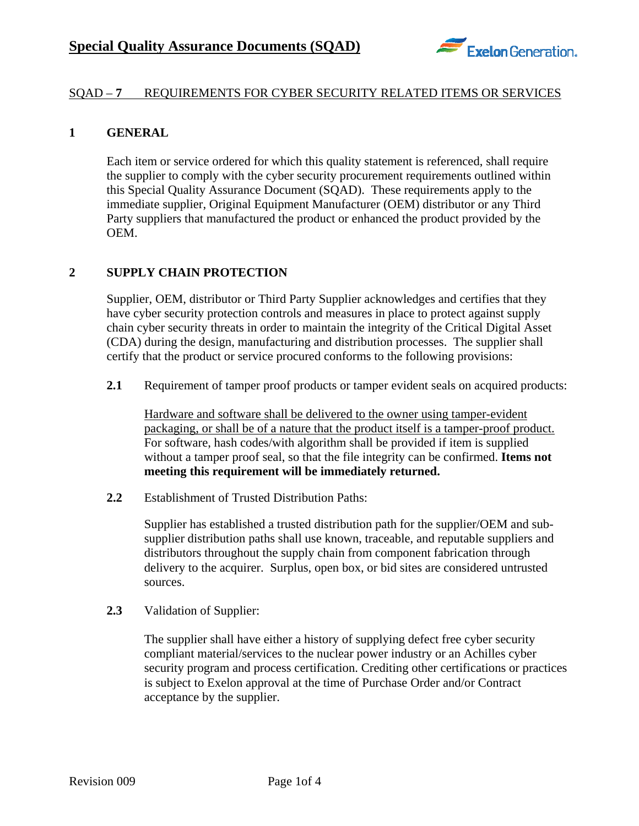

## SQAD – **7** REQUIREMENTS FOR CYBER SECURITY RELATED ITEMS OR SERVICES

### **1 GENERAL**

Each item or service ordered for which this quality statement is referenced, shall require the supplier to comply with the cyber security procurement requirements outlined within this Special Quality Assurance Document (SQAD). These requirements apply to the immediate supplier, Original Equipment Manufacturer (OEM) distributor or any Third Party suppliers that manufactured the product or enhanced the product provided by the OEM.

### **2 SUPPLY CHAIN PROTECTION**

Supplier, OEM, distributor or Third Party Supplier acknowledges and certifies that they have cyber security protection controls and measures in place to protect against supply chain cyber security threats in order to maintain the integrity of the Critical Digital Asset (CDA) during the design, manufacturing and distribution processes. The supplier shall certify that the product or service procured conforms to the following provisions:

**2.1** Requirement of tamper proof products or tamper evident seals on acquired products:

Hardware and software shall be delivered to the owner using tamper-evident packaging, or shall be of a nature that the product itself is a tamper-proof product. For software, hash codes/with algorithm shall be provided if item is supplied without a tamper proof seal, so that the file integrity can be confirmed. **Items not meeting this requirement will be immediately returned.** 

**2.2** Establishment of Trusted Distribution Paths:

Supplier has established a trusted distribution path for the supplier/OEM and subsupplier distribution paths shall use known, traceable, and reputable suppliers and distributors throughout the supply chain from component fabrication through delivery to the acquirer. Surplus, open box, or bid sites are considered untrusted sources.

**2.3** Validation of Supplier:

The supplier shall have either a history of supplying defect free cyber security compliant material/services to the nuclear power industry or an Achilles cyber security program and process certification. Crediting other certifications or practices is subject to Exelon approval at the time of Purchase Order and/or Contract acceptance by the supplier.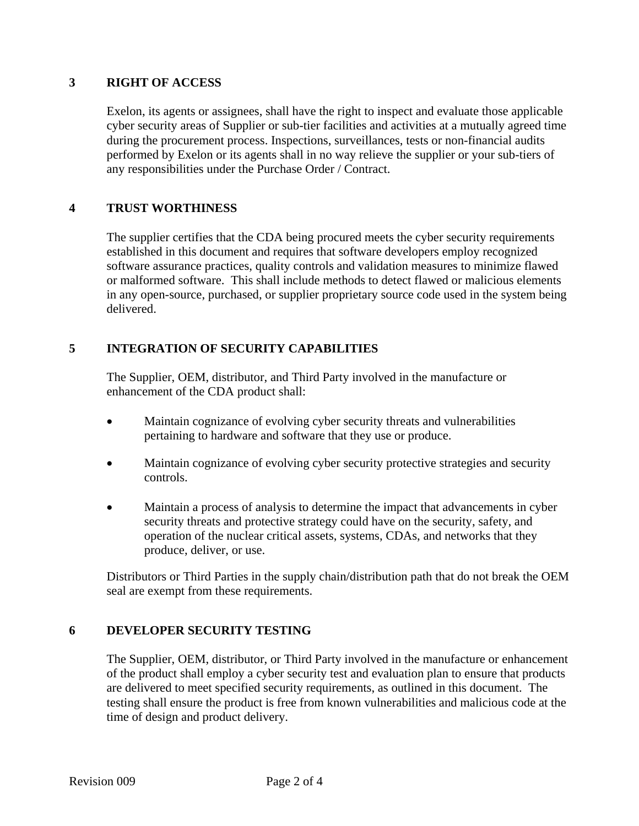### **3 RIGHT OF ACCESS**

Exelon, its agents or assignees, shall have the right to inspect and evaluate those applicable cyber security areas of Supplier or sub-tier facilities and activities at a mutually agreed time during the procurement process. Inspections, surveillances, tests or non-financial audits performed by Exelon or its agents shall in no way relieve the supplier or your sub-tiers of any responsibilities under the Purchase Order / Contract.

# **4 TRUST WORTHINESS**

The supplier certifies that the CDA being procured meets the cyber security requirements established in this document and requires that software developers employ recognized software assurance practices, quality controls and validation measures to minimize flawed or malformed software. This shall include methods to detect flawed or malicious elements in any open-source, purchased, or supplier proprietary source code used in the system being delivered.

### **5 INTEGRATION OF SECURITY CAPABILITIES**

The Supplier, OEM, distributor, and Third Party involved in the manufacture or enhancement of the CDA product shall:

- Maintain cognizance of evolving cyber security threats and vulnerabilities pertaining to hardware and software that they use or produce.
- Maintain cognizance of evolving cyber security protective strategies and security controls.
- Maintain a process of analysis to determine the impact that advancements in cyber security threats and protective strategy could have on the security, safety, and operation of the nuclear critical assets, systems, CDAs, and networks that they produce, deliver, or use.

Distributors or Third Parties in the supply chain/distribution path that do not break the OEM seal are exempt from these requirements.

# **6 DEVELOPER SECURITY TESTING**

The Supplier, OEM, distributor, or Third Party involved in the manufacture or enhancement of the product shall employ a cyber security test and evaluation plan to ensure that products are delivered to meet specified security requirements, as outlined in this document. The testing shall ensure the product is free from known vulnerabilities and malicious code at the time of design and product delivery.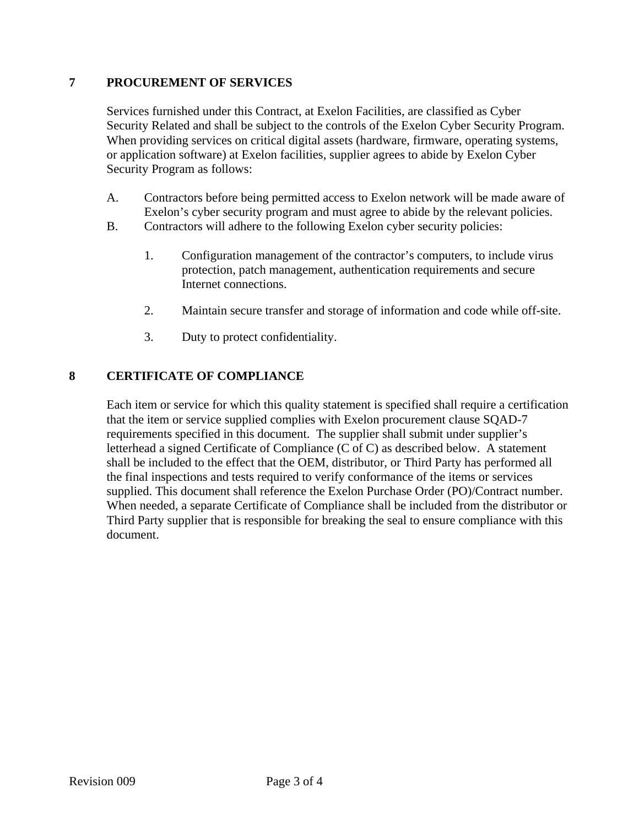# **7 PROCUREMENT OF SERVICES**

Services furnished under this Contract, at Exelon Facilities, are classified as Cyber Security Related and shall be subject to the controls of the Exelon Cyber Security Program. When providing services on critical digital assets (hardware, firmware, operating systems, or application software) at Exelon facilities, supplier agrees to abide by Exelon Cyber Security Program as follows:

- A. Contractors before being permitted access to Exelon network will be made aware of Exelon's cyber security program and must agree to abide by the relevant policies.
- B. Contractors will adhere to the following Exelon cyber security policies:
	- 1. Configuration management of the contractor's computers, to include virus protection, patch management, authentication requirements and secure Internet connections.
	- 2. Maintain secure transfer and storage of information and code while off-site.
	- 3. Duty to protect confidentiality.

### **8 CERTIFICATE OF COMPLIANCE**

Each item or service for which this quality statement is specified shall require a certification that the item or service supplied complies with Exelon procurement clause SQAD-7 requirements specified in this document. The supplier shall submit under supplier's letterhead a signed Certificate of Compliance (C of C) as described below. A statement shall be included to the effect that the OEM, distributor, or Third Party has performed all the final inspections and tests required to verify conformance of the items or services supplied. This document shall reference the Exelon Purchase Order (PO)/Contract number. When needed, a separate Certificate of Compliance shall be included from the distributor or Third Party supplier that is responsible for breaking the seal to ensure compliance with this document.